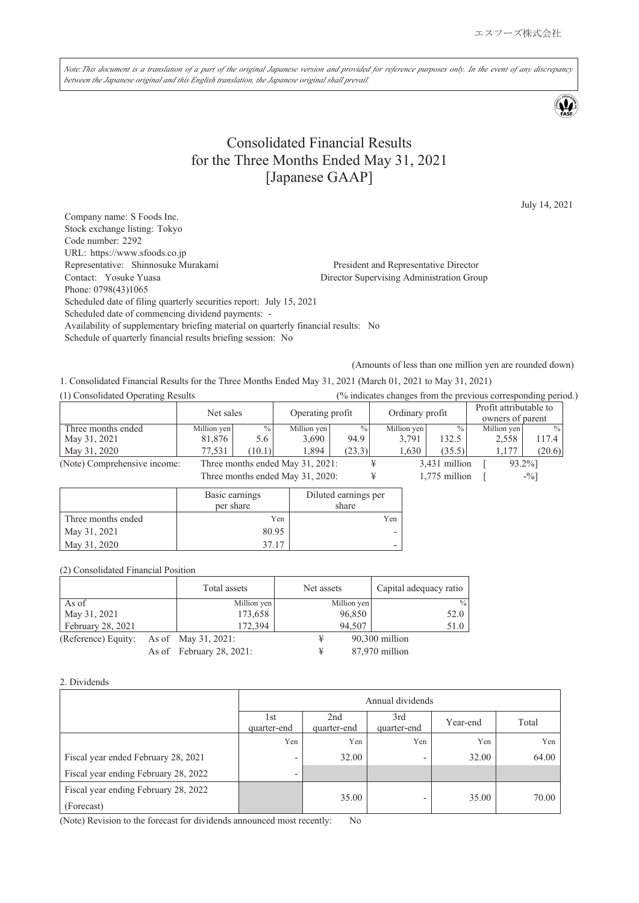Note:This document is a translation of a part of the original Japanese version and provided for reference purposes only. In the event of any discrepancy *between the Japanese original and this English translation, the Japanese original shall prevail.*

# Consolidated Financial Results for the Three Months Ended May 31, 2021 [Japanese GAAP]

July 14, 2021

Company name: S Foods Inc. Stock exchange listing: Tokyo Code number: 2292 URL: https://www.sfoods.co.jp Representative: Shinnosuke Murakami President and Representative Director Contact: Yosuke Yuasa Director Supervising Administration Group Phone: 0798(43)1065 Scheduled date of filing quarterly securities report: July 15, 2021 Scheduled date of commencing dividend payments: - Availability of supplementary briefing material on quarterly financial results: No Schedule of quarterly financial results briefing session: No

(Amounts of less than one million yen are rounded down)

1. Consolidated Financial Results for the Three Months Ended May 31, 2021 (March 01, 2021 to May 31, 2021)

| (1) Consolidated Operating Results |             |        |                                  |               |                 |                 | $\frac{1}{2}$ indicates changes from the previous corresponding period. |               |
|------------------------------------|-------------|--------|----------------------------------|---------------|-----------------|-----------------|-------------------------------------------------------------------------|---------------|
|                                    | Net sales   |        |                                  |               |                 |                 | Profit attributable to                                                  |               |
|                                    |             |        | Operating profit                 |               | Ordinary profit |                 | owners of parent                                                        |               |
| Three months ended                 | Million yen | $\%$   | Million yen                      | $\frac{0}{0}$ | Million yen     | $\frac{0}{0}$ . | Million yen                                                             | $\frac{0}{0}$ |
| May 31, 2021                       | 81,876      | 5.6    | 3.690                            | 94.9          | 3.791           | 132.5           | 2.558                                                                   | 117.4         |
| May 31, 2020                       | 77,531      | (10.1) | 1.894                            | (23.3)        | 1.630           | (35.5)          | 1.177                                                                   | (20.6)        |
| (Note) Comprehensive income:       |             |        | Three months ended May 31, 2021: |               |                 | 3,431 million   |                                                                         | 93.2%]        |

Three months ended May 31, 2020:  $\qquad \qquad \text{#} \qquad \qquad 1,775 \text{ million} \qquad \text{[} \qquad \qquad ^{96}$ 

|                    | Basic earnings<br>per share | Diluted earnings per<br>share |
|--------------------|-----------------------------|-------------------------------|
| Three months ended | Yen                         | Yen                           |
| May 31, 2021       | 80.95                       |                               |
| May 31, 2020       | 3717                        |                               |

(2) Consolidated Financial Position

|                     | Total assets             | Net assets  | Capital adequacy ratio |
|---------------------|--------------------------|-------------|------------------------|
| As of               | Million yen              | Million yen | $\%$                   |
| May 31, 2021        | 173,658                  | 96,850      | 52.0                   |
| February 28, 2021   | 172,394                  | 94,507      | 51.0                   |
| (Reference) Equity: | As of May 31, 2021:      |             | 90,300 million         |
|                     | As of February 28, 2021: |             | 87,970 million         |

#### 2. Dividends

| Annual dividends         |                                |                          |          |       |
|--------------------------|--------------------------------|--------------------------|----------|-------|
| 1st<br>quarter-end       | 2 <sub>nd</sub><br>quarter-end | 3rd<br>quarter-end       | Year-end | Total |
| Yen                      | Yen                            | Yen                      | Yen      | Yen   |
| $\overline{\phantom{0}}$ | 32.00                          | ٠                        | 32.00    | 64.00 |
| $\overline{\phantom{0}}$ |                                |                          |          |       |
|                          | 35.00                          | $\overline{\phantom{0}}$ | 35.00    | 70.00 |
|                          |                                |                          |          |       |

(Note) Revision to the forecast for dividends announced most recently: No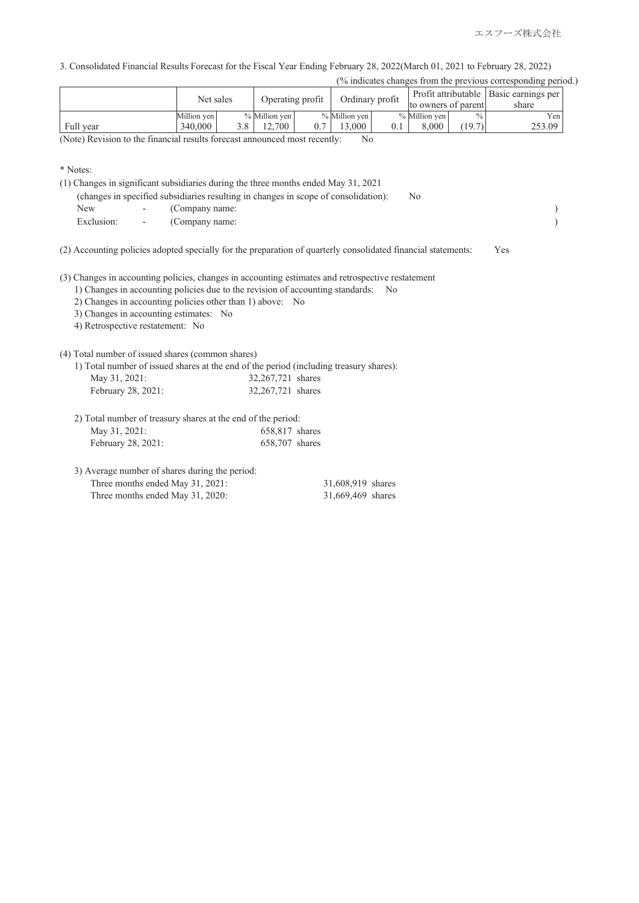3. Consolidated Financial Results Forecast for the Fiscal Year Ending February 28, 2022(March 01, 2021 to February 28, 2022)

|  |  | (% indicates changes from the previous corresponding period.) |  |
|--|--|---------------------------------------------------------------|--|
|  |  |                                                               |  |

|           | Net sales   | Operating profit |     |                 | Ordinary profit | Profit attributable  <br>to owners of parent |               | Basic earnings per<br>share |
|-----------|-------------|------------------|-----|-----------------|-----------------|----------------------------------------------|---------------|-----------------------------|
|           | Million yen | $%$ Million yen  |     | $%$ Million yen |                 | % Million yen                                | $\frac{0}{0}$ | Yen.                        |
| Full year | 340,000     | 12.700           | 0.7 | 13.000          |                 | 8.000                                        | (19.7)        | 253.09                      |

(Note) Revision to the financial results forecast announced most recently: No

<sup>\*</sup> Notes:

|            |                          | (1) Changes in significant subsidiaries during the three months ended May 31, 2021<br>(changes in specified subsidiaries resulting in changes in scope of consolidation):<br>N <sub>0</sub>       |     |  |
|------------|--------------------------|---------------------------------------------------------------------------------------------------------------------------------------------------------------------------------------------------|-----|--|
| New        |                          | (Company name:                                                                                                                                                                                    |     |  |
| Exclusion: | $\overline{\phantom{a}}$ | (Company name:                                                                                                                                                                                    |     |  |
|            |                          | (2) Accounting policies adopted specially for the preparation of quarterly consolidated financial statements:                                                                                     | Yes |  |
|            |                          | (3) Changes in accounting policies, changes in accounting estimates and retrospective restatement<br>$\frac{1}{1}$ Changes in accounting policies due to the revision of accounting standards: No |     |  |

1) Changes in accounting policies due to the revision of accounting standards: No

2) Changes in accounting policies other than 1) above: No

3) Changes in accounting estimates: No

4) Retrospective restatement: No

(4) Total number of issued shares (common shares)

|                    | 1) Total number of issued shares at the end of the period (including treasury shares): |
|--------------------|----------------------------------------------------------------------------------------|
| May 31, 2021:      | 32,267,721 shares                                                                      |
| February 28, 2021: | 32,267,721 shares                                                                      |

| 2) Total number of treasury shares at the end of the period: |  |
|--------------------------------------------------------------|--|

| May 31, 2021:      | 658,817 shares |
|--------------------|----------------|
| February 28, 2021: | 658,707 shares |

| 3) Average number of shares during the period: |                   |  |
|------------------------------------------------|-------------------|--|
| Three months ended May 31, 2021:               | 31,608,919 shares |  |
| Three months ended May 31, 2020:               | 31,669,469 shares |  |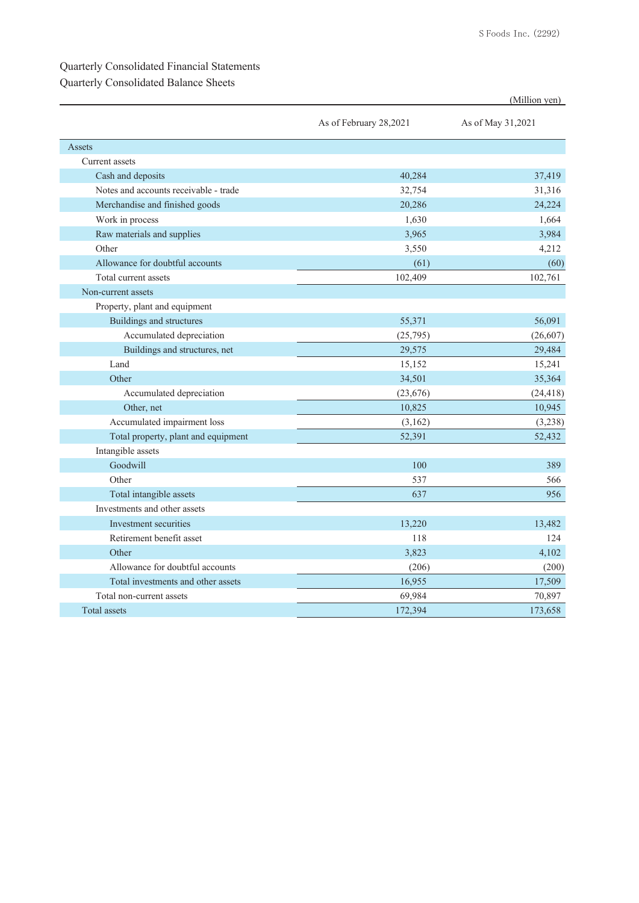#### Quarterly Consolidated Financial Statements

### Quarterly Consolidated Balance Sheets

|                                       |                        | (Million yen)     |
|---------------------------------------|------------------------|-------------------|
|                                       | As of February 28,2021 | As of May 31,2021 |
| Assets                                |                        |                   |
| Current assets                        |                        |                   |
| Cash and deposits                     | 40,284                 | 37,419            |
| Notes and accounts receivable - trade | 32,754                 | 31,316            |
| Merchandise and finished goods        | 20,286                 | 24,224            |
| Work in process                       | 1,630                  | 1.664             |
| Raw materials and supplies            | 3,965                  | 3,984             |
| Other                                 | 3,550                  | 4,212             |
| Allowance for doubtful accounts       | (61)                   | (60)              |
| Total current assets                  | 102,409                | 102,761           |
| Non-current assets                    |                        |                   |
| Property, plant and equipment         |                        |                   |
| Buildings and structures              | 55,371                 | 56,091            |
| Accumulated depreciation              | (25,795)               | (26, 607)         |
| Buildings and structures, net         | 29,575                 | 29,484            |
| Land                                  | 15,152                 | 15,241            |
| Other                                 | 34,501                 | 35,364            |
| Accumulated depreciation              | (23, 676)              | (24, 418)         |
| Other, net                            | 10,825                 | 10,945            |
| Accumulated impairment loss           | (3,162)                | (3,238)           |
| Total property, plant and equipment   | 52,391                 | 52,432            |
| Intangible assets                     |                        |                   |
| Goodwill                              | 100                    | 389               |
| Other                                 | 537                    | 566               |
| Total intangible assets               | 637                    | 956               |
| Investments and other assets          |                        |                   |
| Investment securities                 | 13,220                 | 13.482            |
| Retirement benefit asset              | 118                    | 124               |
| Other                                 | 3,823                  | 4,102             |
| Allowance for doubtful accounts       | (206)                  | (200)             |
| Total investments and other assets    | 16,955                 | 17,509            |
| Total non-current assets              | 69,984                 | 70,897            |
| Total assets                          | 172,394                | 173,658           |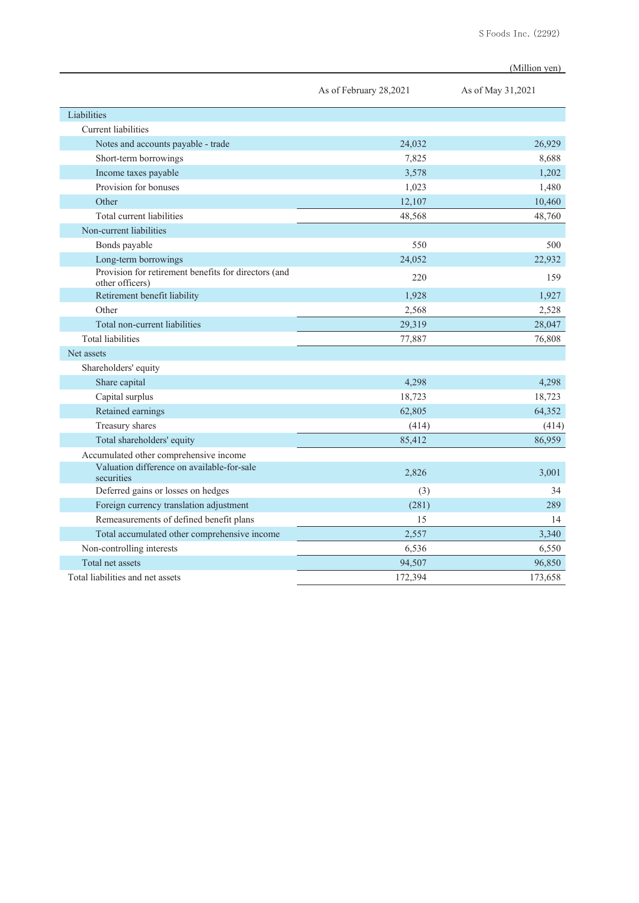|                                                                         |                        | (Million yen)     |  |
|-------------------------------------------------------------------------|------------------------|-------------------|--|
|                                                                         | As of February 28,2021 | As of May 31,2021 |  |
| Liabilities                                                             |                        |                   |  |
| Current liabilities                                                     |                        |                   |  |
| Notes and accounts payable - trade                                      | 24,032                 | 26,929            |  |
| Short-term borrowings                                                   | 7,825                  | 8.688             |  |
| Income taxes payable                                                    | 3,578                  | 1,202             |  |
| Provision for bonuses                                                   | 1,023                  | 1,480             |  |
| Other                                                                   | 12,107                 | 10,460            |  |
| Total current liabilities                                               | 48,568                 | 48,760            |  |
| Non-current liabilities                                                 |                        |                   |  |
| Bonds payable                                                           | 550                    | 500               |  |
| Long-term borrowings                                                    | 24,052                 | 22,932            |  |
| Provision for retirement benefits for directors (and<br>other officers) | 220                    | 159               |  |
| Retirement benefit liability                                            | 1,928                  | 1,927             |  |
| Other                                                                   | 2,568                  | 2,528             |  |
| Total non-current liabilities                                           | 29,319                 | 28,047            |  |
| <b>Total liabilities</b>                                                | 77,887                 | 76,808            |  |
| Net assets                                                              |                        |                   |  |
| Shareholders' equity                                                    |                        |                   |  |
| Share capital                                                           | 4.298                  | 4.298             |  |
| Capital surplus                                                         | 18,723                 | 18,723            |  |
| Retained earnings                                                       | 62,805                 | 64,352            |  |
| Treasury shares                                                         | (414)                  | (414)             |  |
| Total shareholders' equity                                              | 85,412                 | 86,959            |  |
| Accumulated other comprehensive income                                  |                        |                   |  |
| Valuation difference on available-for-sale<br>securities                | 2,826                  | 3,001             |  |
| Deferred gains or losses on hedges                                      | (3)                    | 34                |  |
| Foreign currency translation adjustment                                 | (281)                  | 289               |  |
| Remeasurements of defined benefit plans                                 | 15                     | 14                |  |
| Total accumulated other comprehensive income                            | 2,557                  | 3,340             |  |
| Non-controlling interests                                               | 6,536                  | 6,550             |  |
| Total net assets                                                        | 94,507                 | 96,850            |  |
| Total liabilities and net assets                                        | 172,394                | 173,658           |  |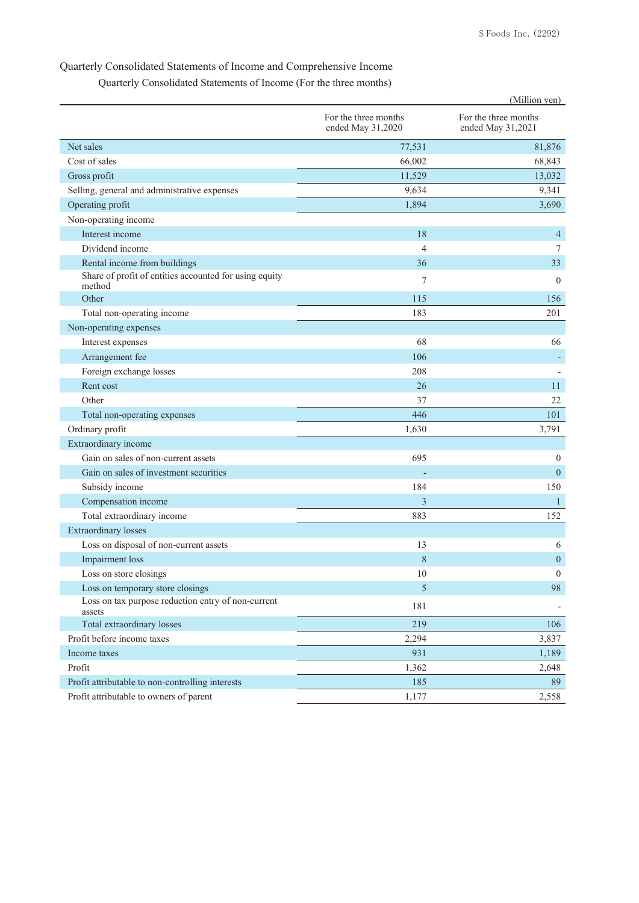## Quarterly Consolidated Statements of Income and Comprehensive Income

Quarterly Consolidated Statements of Income (For the three months)

|                                                                  |                                           | (Million yen)                             |
|------------------------------------------------------------------|-------------------------------------------|-------------------------------------------|
|                                                                  | For the three months<br>ended May 31,2020 | For the three months<br>ended May 31,2021 |
| Net sales                                                        | 77,531                                    | 81,876                                    |
| Cost of sales                                                    | 66,002                                    | 68,843                                    |
| Gross profit                                                     | 11,529                                    | 13,032                                    |
| Selling, general and administrative expenses                     | 9,634                                     | 9,341                                     |
| Operating profit                                                 | 1,894                                     | 3,690                                     |
| Non-operating income                                             |                                           |                                           |
| Interest income                                                  | 18                                        | $\overline{4}$                            |
| Dividend income                                                  | $\overline{4}$                            | 7                                         |
| Rental income from buildings                                     | 36                                        | 33                                        |
| Share of profit of entities accounted for using equity<br>method | $\tau$                                    | $\mathbf{0}$                              |
| Other                                                            | 115                                       | 156                                       |
| Total non-operating income                                       | 183                                       | 201                                       |
| Non-operating expenses                                           |                                           |                                           |
| Interest expenses                                                | 68                                        | 66                                        |
| Arrangement fee                                                  | 106                                       |                                           |
| Foreign exchange losses                                          | 208                                       |                                           |
| Rent cost                                                        | 26                                        | 11                                        |
| Other                                                            | 37                                        | 22                                        |
| Total non-operating expenses                                     | 446                                       | 101                                       |
| Ordinary profit                                                  | 1,630                                     | 3,791                                     |
| Extraordinary income                                             |                                           |                                           |
| Gain on sales of non-current assets                              | 695                                       | $\overline{0}$                            |
| Gain on sales of investment securities                           |                                           | $\overline{0}$                            |
| Subsidy income                                                   | 184                                       | 150                                       |
| Compensation income                                              | 3                                         | $\mathbf{1}$                              |
| Total extraordinary income                                       | 883                                       | 152                                       |
| <b>Extraordinary losses</b>                                      |                                           |                                           |
| Loss on disposal of non-current assets                           | 13                                        | 6                                         |
| <b>Impairment</b> loss                                           | 8                                         | $\overline{0}$                            |
| Loss on store closings                                           | $10\,$                                    | $\boldsymbol{0}$                          |
| Loss on temporary store closings                                 | 5                                         | 98                                        |
| Loss on tax purpose reduction entry of non-current<br>assets     | 181                                       |                                           |
| Total extraordinary losses                                       | 219                                       | 106                                       |
| Profit before income taxes                                       | 2,294                                     | 3,837                                     |
| Income taxes                                                     | 931                                       | 1,189                                     |
| Profit                                                           | 1,362                                     | 2,648                                     |
| Profit attributable to non-controlling interests                 | 185                                       | 89                                        |
| Profit attributable to owners of parent                          | 1,177                                     | 2,558                                     |